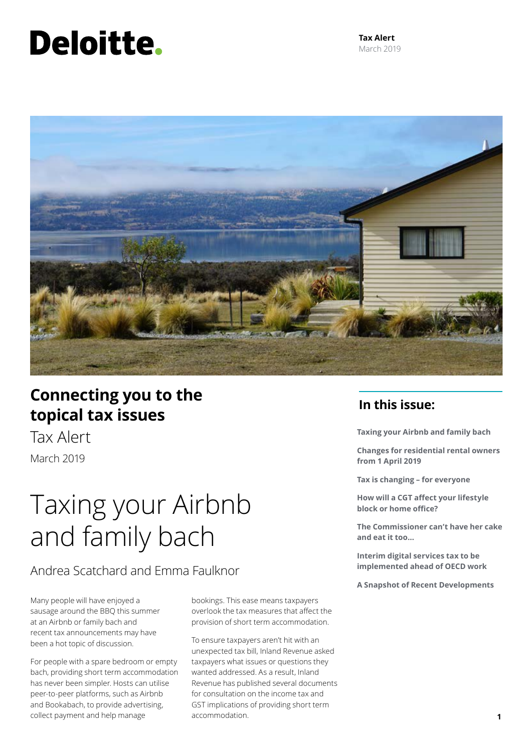# Deloitte.



# **Connecting you to the topical tax issues**

Tax Alert March 2019

# Taxing your Airbnb and family bach

Andrea Scatchard and Emma Faulknor

Many people will have enjoyed a sausage around the BBQ this summer at an Airbnb or family bach and recent tax announcements may have been a hot topic of discussion.

For people with a spare bedroom or empty bach, providing short term accommodation has never been simpler. Hosts can utilise peer-to-peer platforms, such as Airbnb and Bookabach, to provide advertising, collect payment and help manage

bookings. This ease means taxpayers overlook the tax measures that affect the provision of short term accommodation.

To ensure taxpayers aren't hit with an unexpected tax bill, Inland Revenue asked taxpayers what issues or questions they wanted addressed. As a result, Inland Revenue has published several documents for consultation on the income tax and GST implications of providing short term accommodation. **1**

# **In this issue:**

**Taxing your Airbnb and family bach**

**Changes for residential rental owners from 1 April 2019** 

**Tax is changing – for everyone** 

**How will a CGT affect your lifestyle block or home office?** 

**The Commissioner can't have her cake and eat it too…** 

**Interim digital services tax to be implemented ahead of OECD work**

**A Snapshot of Recent Developments**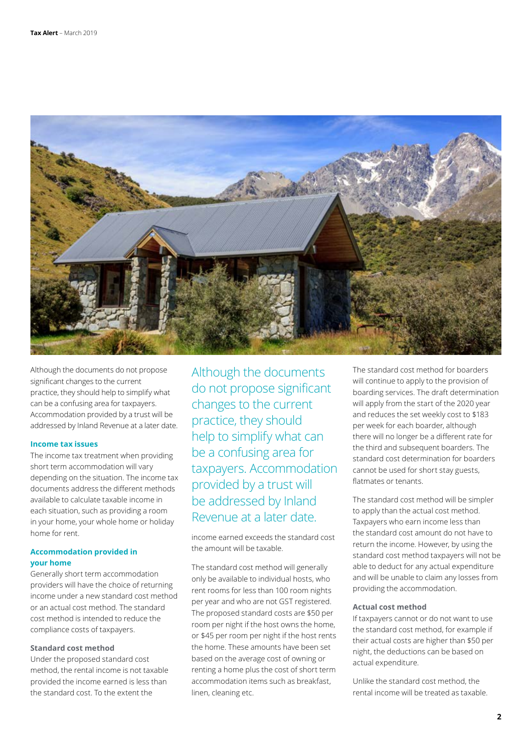

Although the documents do not propose significant changes to the current practice, they should help to simplify what can be a confusing area for taxpayers. Accommodation provided by a trust will be addressed by Inland Revenue at a later date.

### **Income tax issues**

The income tax treatment when providing short term accommodation will vary depending on the situation. The income tax documents address the different methods available to calculate taxable income in each situation, such as providing a room in your home, your whole home or holiday home for rent.

# **Accommodation provided in your home**

Generally short term accommodation providers will have the choice of returning income under a new standard cost method or an actual cost method. The standard cost method is intended to reduce the compliance costs of taxpayers.

#### **Standard cost method**

Under the proposed standard cost method, the rental income is not taxable provided the income earned is less than the standard cost. To the extent the

Although the documents do not propose significant changes to the current practice, they should help to simplify what can be a confusing area for taxpayers. Accommodation provided by a trust will be addressed by Inland Revenue at a later date.

income earned exceeds the standard cost the amount will be taxable.

The standard cost method will generally only be available to individual hosts, who rent rooms for less than 100 room nights per year and who are not GST registered. The proposed standard costs are \$50 per room per night if the host owns the home, or \$45 per room per night if the host rents the home. These amounts have been set based on the average cost of owning or renting a home plus the cost of short term accommodation items such as breakfast, linen, cleaning etc.

The standard cost method for boarders will continue to apply to the provision of boarding services. The draft determination will apply from the start of the 2020 year and reduces the set weekly cost to \$183 per week for each boarder, although there will no longer be a different rate for the third and subsequent boarders. The standard cost determination for boarders cannot be used for short stay guests, flatmates or tenants.

The standard cost method will be simpler to apply than the actual cost method. Taxpayers who earn income less than the standard cost amount do not have to return the income. However, by using the standard cost method taxpayers will not be able to deduct for any actual expenditure and will be unable to claim any losses from providing the accommodation.

#### **Actual cost method**

If taxpayers cannot or do not want to use the standard cost method, for example if their actual costs are higher than \$50 per night, the deductions can be based on actual expenditure.

Unlike the standard cost method, the rental income will be treated as taxable.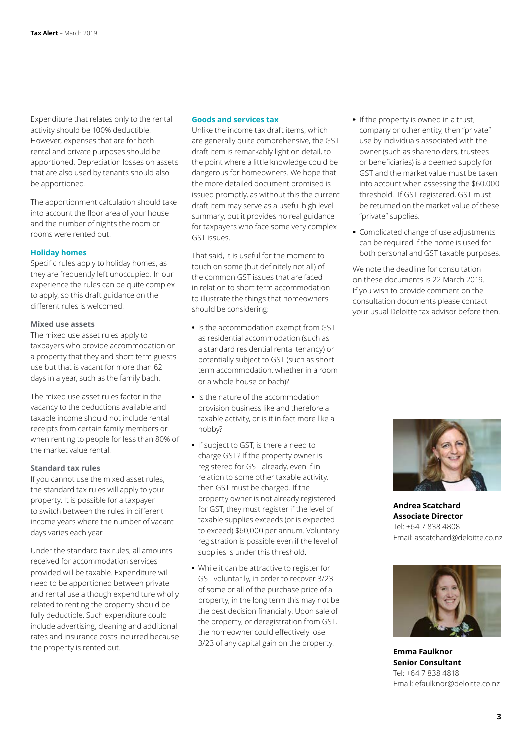Expenditure that relates only to the rental activity should be 100% deductible. However, expenses that are for both rental and private purposes should be apportioned. Depreciation losses on assets that are also used by tenants should also be apportioned.

The apportionment calculation should take into account the floor area of your house and the number of nights the room or rooms were rented out.

#### **Holiday homes**

Specific rules apply to holiday homes, as they are frequently left unoccupied. In our experience the rules can be quite complex to apply, so this draft guidance on the different rules is welcomed.

#### **Mixed use assets**

The mixed use asset rules apply to taxpayers who provide accommodation on a property that they and short term guests use but that is vacant for more than 62 days in a year, such as the family bach.

The mixed use asset rules factor in the vacancy to the deductions available and taxable income should not include rental receipts from certain family members or when renting to people for less than 80% of the market value rental.

#### **Standard tax rules**

If you cannot use the mixed asset rules, the standard tax rules will apply to your property. It is possible for a taxpayer to switch between the rules in different income years where the number of vacant days varies each year.

Under the standard tax rules, all amounts received for accommodation services provided will be taxable. Expenditure will need to be apportioned between private and rental use although expenditure wholly related to renting the property should be fully deductible. Such expenditure could include advertising, cleaning and additional rates and insurance costs incurred because the property is rented out.

#### **Goods and services tax**

Unlike the income tax draft items, which are generally quite comprehensive, the GST draft item is remarkably light on detail, to the point where a little knowledge could be dangerous for homeowners. We hope that the more detailed document promised is issued promptly, as without this the current draft item may serve as a useful high level summary, but it provides no real guidance for taxpayers who face some very complex GST issues.

That said, it is useful for the moment to touch on some (but definitely not all) of the common GST issues that are faced in relation to short term accommodation to illustrate the things that homeowners should be considering:

- **•** Is the accommodation exempt from GST as residential accommodation (such as a standard residential rental tenancy) or potentially subject to GST (such as short term accommodation, whether in a room or a whole house or bach)?
- **•** Is the nature of the accommodation provision business like and therefore a taxable activity, or is it in fact more like a hobby?
- **•** If subject to GST, is there a need to charge GST? If the property owner is registered for GST already, even if in relation to some other taxable activity, then GST must be charged. If the property owner is not already registered for GST, they must register if the level of taxable supplies exceeds (or is expected to exceed) \$60,000 per annum. Voluntary registration is possible even if the level of supplies is under this threshold.
- **•** While it can be attractive to register for GST voluntarily, in order to recover 3/23 of some or all of the purchase price of a property, in the long term this may not be the best decision financially. Upon sale of the property, or deregistration from GST, the homeowner could effectively lose 3/23 of any capital gain on the property.
- **•** If the property is owned in a trust, company or other entity, then "private" use by individuals associated with the owner (such as shareholders, trustees or beneficiaries) is a deemed supply for GST and the market value must be taken into account when assessing the \$60,000 threshold. If GST registered, GST must be returned on the market value of these "private" supplies.
- **•** Complicated change of use adjustments can be required if the home is used for both personal and GST taxable purposes.

We note the deadline for consultation on these documents is 22 March 2019. If you wish to provide comment on the consultation documents please contact your usual Deloitte tax advisor before then.



**Andrea Scatchard Associate Director** Tel: +64 7 838 4808 Email: ascatchard@deloitte.co.nz



**Emma Faulknor Senior Consultant** Tel: +64 7 838 4818 Email: efaulknor@deloitte.co.nz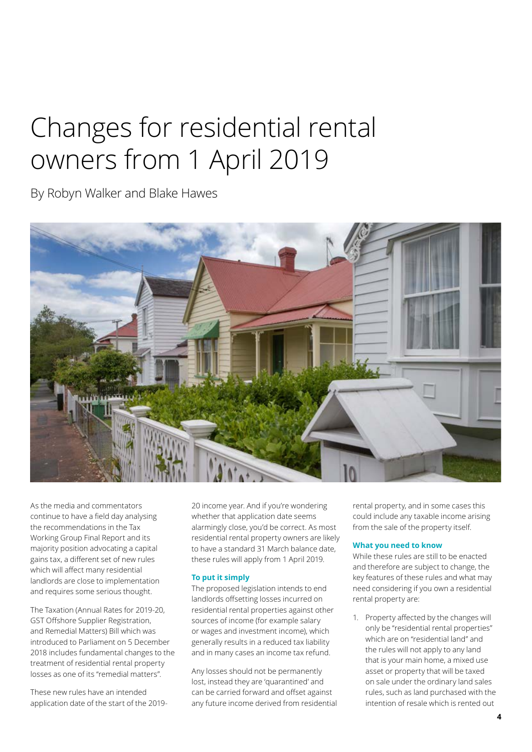# Changes for residential rental owners from 1 April 2019

By Robyn Walker and Blake Hawes



As the media and commentators continue to have a field day analysing the recommendations in the Tax Working Group Final Report and its majority position advocating a capital gains tax, a different set of new rules which will affect many residential landlords are close to implementation and requires some serious thought.

The Taxation (Annual Rates for 2019-20, GST Offshore Supplier Registration, and Remedial Matters) Bill which was introduced to Parliament on 5 December 2018 includes fundamental changes to the treatment of residential rental property losses as one of its "remedial matters".

These new rules have an intended application date of the start of the 201920 income year. And if you're wondering whether that application date seems alarmingly close, you'd be correct. As most residential rental property owners are likely to have a standard 31 March balance date, these rules will apply from 1 April 2019.

## **To put it simply**

The proposed legislation intends to end landlords offsetting losses incurred on residential rental properties against other sources of income (for example salary or wages and investment income), which generally results in a reduced tax liability and in many cases an income tax refund.

Any losses should not be permanently lost, instead they are 'quarantined' and can be carried forward and offset against any future income derived from residential rental property, and in some cases this could include any taxable income arising from the sale of the property itself.

#### **What you need to know**

While these rules are still to be enacted and therefore are subject to change, the key features of these rules and what may need considering if you own a residential rental property are:

1. Property affected by the changes will only be "residential rental properties" which are on "residential land" and the rules will not apply to any land that is your main home, a mixed use asset or property that will be taxed on sale under the ordinary land sales rules, such as land purchased with the intention of resale which is rented out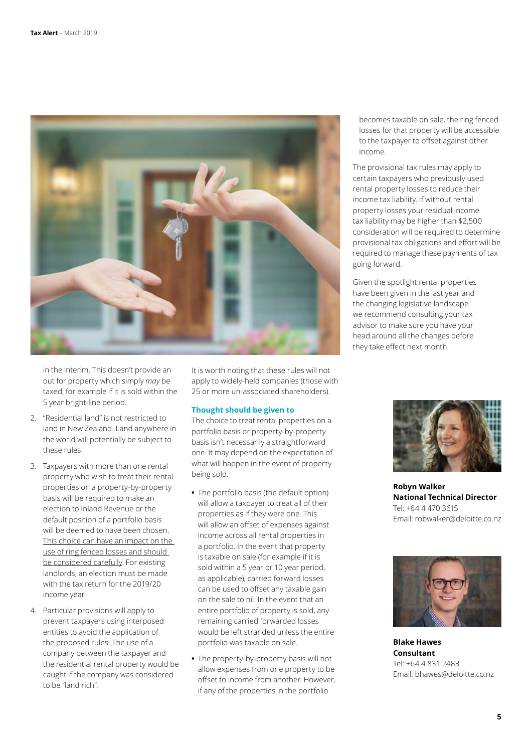

in the interim. This doesn't provide an out for property which simply *may* be taxed, for example if it is sold within the 5 year bright-line period.

- 2. "Residential land" is not restricted to land in New Zealand. Land anywhere in the world will potentially be subject to these rules.
- 3. Taxpayers with more than one rental property who wish to treat their rental properties on a property-by-property basis will be required to make an election to Inland Revenue or the default position of a portfolio basis will be deemed to have been chosen. This choice can have an impact on the use of ring fenced losses and should be considered carefully. For existing landlords, an election must be made with the tax return for the 2019/20 income year.
- 4. Particular provisions will apply to prevent taxpayers using interposed entities to avoid the application of the proposed rules. The use of a company between the taxpayer and the residential rental property would be caught if the company was considered to be "land rich".

It is worth noting that these rules will not apply to widely-held companies (those with 25 or more un-associated shareholders).

## **Thought should be given to**

The choice to treat rental properties on a portfolio basis or property-by-property basis isn't necessarily a straightforward one. It may depend on the expectation of what will happen in the event of property being sold.

- **•** The portfolio basis (the default option) will allow a taxpayer to treat all of their properties as if they were one. This will allow an offset of expenses against income across all rental properties in a portfolio. In the event that property is taxable on sale (for example if it is sold within a 5 year or 10 year period, as applicable), carried forward losses can be used to offset any taxable gain on the sale to nil. In the event that an entire portfolio of property is sold, any remaining carried forwarded losses would be left stranded unless the entire portfolio was taxable on sale.
- **•** The property-by-property basis will not allow expenses from one property to be offset to income from another. However, if any of the properties in the portfolio

becomes taxable on sale, the ring fenced losses for that property will be accessible to the taxpayer to offset against other income.

The provisional tax rules may apply to certain taxpayers who previously used rental property losses to reduce their income tax liability. If without rental property losses your residual income tax liability may be higher than \$2,500 consideration will be required to determine provisional tax obligations and effort will be required to manage these payments of tax going forward.

Given the spotlight rental properties have been given in the last year and the changing legislative landscape we recommend consulting your tax advisor to make sure you have your head around all the changes before they take effect next month.



**Robyn Walker National Technical Director** Tel: +64 4 470 3615 Email: robwalker@deloitte.co.nz



**Blake Hawes Consultant** Tel: +64 4 831 2483 Email: bhawes@deloitte.co.nz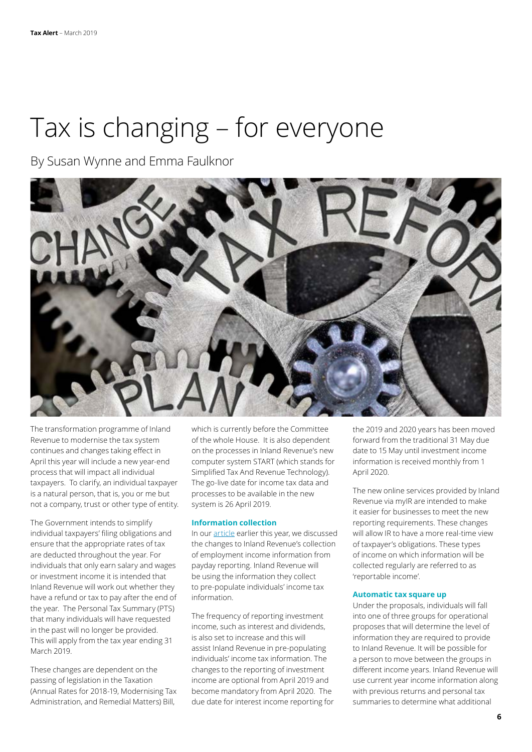# Tax is changing – for everyone

By Susan Wynne and Emma Faulknor



The transformation programme of Inland Revenue to modernise the tax system continues and changes taking effect in April this year will include a new year-end process that will impact all individual taxpayers. To clarify, an individual taxpayer is a natural person, that is, you or me but not a company, trust or other type of entity.

The Government intends to simplify individual taxpayers' filing obligations and ensure that the appropriate rates of tax are deducted throughout the year. For individuals that only earn salary and wages or investment income it is intended that Inland Revenue will work out whether they have a refund or tax to pay after the end of the year. The Personal Tax Summary (PTS) that many individuals will have requested in the past will no longer be provided. This will apply from the tax year ending 31 March 2019.

These changes are dependent on the passing of legislation in the Taxation (Annual Rates for 2018-19, Modernising Tax Administration, and Remedial Matters) Bill,

which is currently before the Committee of the whole House. It is also dependent on the processes in Inland Revenue's new computer system START (which stands for Simplified Tax And Revenue Technology). The go-live date for income tax data and processes to be available in the new system is 26 April 2019.

# **Information collection**

In our [article](https://www2.deloitte.com/nz/en/pages/tax-alerts/articles/payday-reporting-around-corner.html) earlier this year, we discussed the changes to Inland Revenue's collection of employment income information from payday reporting. Inland Revenue will be using the information they collect to pre-populate individuals' income tax information.

The frequency of reporting investment income, such as interest and dividends, is also set to increase and this will assist Inland Revenue in pre-populating individuals' income tax information. The changes to the reporting of investment income are optional from April 2019 and become mandatory from April 2020. The due date for interest income reporting for the 2019 and 2020 years has been moved forward from the traditional 31 May due date to 15 May until investment income information is received monthly from 1 April 2020.

The new online services provided by Inland Revenue via myIR are intended to make it easier for businesses to meet the new reporting requirements. These changes will allow IR to have a more real-time view of taxpayer's obligations. These types of income on which information will be collected regularly are referred to as 'reportable income'.

#### **Automatic tax square up**

Under the proposals, individuals will fall into one of three groups for operational proposes that will determine the level of information they are required to provide to Inland Revenue. It will be possible for a person to move between the groups in different income years. Inland Revenue will use current year income information along with previous returns and personal tax summaries to determine what additional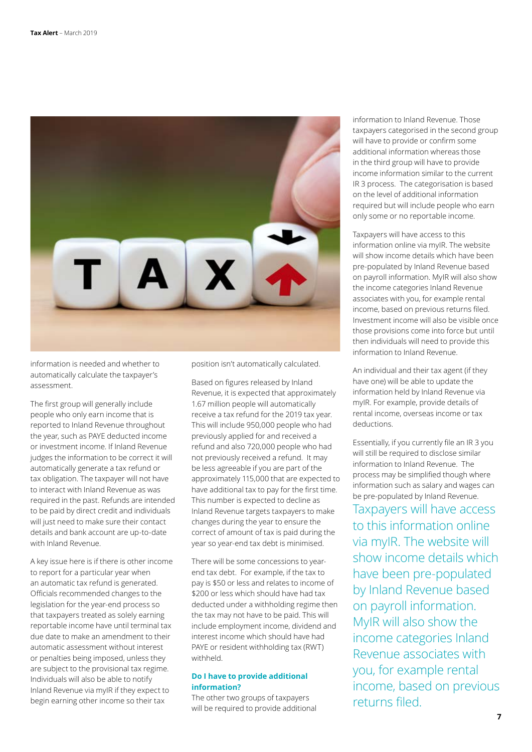

information is needed and whether to automatically calculate the taxpayer's assessment.

The first group will generally include people who only earn income that is reported to Inland Revenue throughout the year, such as PAYE deducted income or investment income. If Inland Revenue judges the information to be correct it will automatically generate a tax refund or tax obligation. The taxpayer will not have to interact with Inland Revenue as was required in the past. Refunds are intended to be paid by direct credit and individuals will just need to make sure their contact details and bank account are up-to-date with Inland Revenue.

A key issue here is if there is other income to report for a particular year when an automatic tax refund is generated. Officials recommended changes to the legislation for the year-end process so that taxpayers treated as solely earning reportable income have until terminal tax due date to make an amendment to their automatic assessment without interest or penalties being imposed, unless they are subject to the provisional tax regime. Individuals will also be able to notify Inland Revenue via myIR if they expect to begin earning other income so their tax

position isn't automatically calculated.

Based on figures released by Inland Revenue, it is expected that approximately 1.67 million people will automatically receive a tax refund for the 2019 tax year. This will include 950,000 people who had previously applied for and received a refund and also 720,000 people who had not previously received a refund. It may be less agreeable if you are part of the approximately 115,000 that are expected to have additional tax to pay for the first time. This number is expected to decline as Inland Revenue targets taxpayers to make changes during the year to ensure the correct of amount of tax is paid during the year so year-end tax debt is minimised.

There will be some concessions to yearend tax debt. For example, if the tax to pay is \$50 or less and relates to income of \$200 or less which should have had tax deducted under a withholding regime then the tax may not have to be paid. This will include employment income, dividend and interest income which should have had PAYE or resident withholding tax (RWT) withheld.

### **Do I have to provide additional information?**

The other two groups of taxpayers will be required to provide additional information to Inland Revenue. Those taxpayers categorised in the second group will have to provide or confirm some additional information whereas those in the third group will have to provide income information similar to the current IR 3 process. The categorisation is based on the level of additional information required but will include people who earn only some or no reportable income.

Taxpayers will have access to this information online via myIR. The website will show income details which have been pre-populated by Inland Revenue based on payroll information. MyIR will also show the income categories Inland Revenue associates with you, for example rental income, based on previous returns filed. Investment income will also be visible once those provisions come into force but until then individuals will need to provide this information to Inland Revenue.

An individual and their tax agent (if they have one) will be able to update the information held by Inland Revenue via myIR. For example, provide details of rental income, overseas income or tax deductions.

Essentially, if you currently file an IR 3 you will still be required to disclose similar information to Inland Revenue. The process may be simplified though where information such as salary and wages can be pre-populated by Inland Revenue. Taxpayers will have access to this information online via myIR. The website will show income details which have been pre-populated by Inland Revenue based on payroll information. MyIR will also show the income categories Inland Revenue associates with you, for example rental income, based on previous returns filed.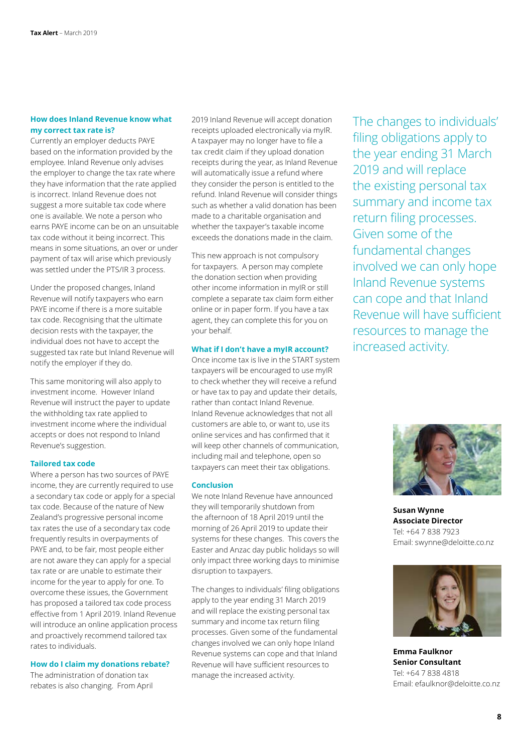### **How does Inland Revenue know what my correct tax rate is?**

Currently an employer deducts PAYE based on the information provided by the employee. Inland Revenue only advises the employer to change the tax rate where they have information that the rate applied is incorrect. Inland Revenue does not suggest a more suitable tax code where one is available. We note a person who earns PAYE income can be on an unsuitable tax code without it being incorrect. This means in some situations, an over or under payment of tax will arise which previously was settled under the PTS/IR 3 process.

Under the proposed changes, Inland Revenue will notify taxpayers who earn PAYE income if there is a more suitable tax code. Recognising that the ultimate decision rests with the taxpayer, the individual does not have to accept the suggested tax rate but Inland Revenue will notify the employer if they do.

This same monitoring will also apply to investment income. However Inland Revenue will instruct the payer to update the withholding tax rate applied to investment income where the individual accepts or does not respond to Inland Revenue's suggestion.

### **Tailored tax code**

Where a person has two sources of PAYE income, they are currently required to use a secondary tax code or apply for a special tax code. Because of the nature of New Zealand's progressive personal income tax rates the use of a secondary tax code frequently results in overpayments of PAYE and, to be fair, most people either are not aware they can apply for a special tax rate or are unable to estimate their income for the year to apply for one. To overcome these issues, the Government has proposed a tailored tax code process effective from 1 April 2019. Inland Revenue will introduce an online application process and proactively recommend tailored tax rates to individuals.

#### **How do I claim my donations rebate?**

The administration of donation tax rebates is also changing. From April 2019 Inland Revenue will accept donation receipts uploaded electronically via myIR. A taxpayer may no longer have to file a tax credit claim if they upload donation receipts during the year, as Inland Revenue will automatically issue a refund where they consider the person is entitled to the refund. Inland Revenue will consider things such as whether a valid donation has been made to a charitable organisation and whether the taxpayer's taxable income exceeds the donations made in the claim.

This new approach is not compulsory for taxpayers. A person may complete the donation section when providing other income information in myIR or still complete a separate tax claim form either online or in paper form. If you have a tax agent, they can complete this for you on your behalf.

#### **What if I don't have a myIR account?**

Once income tax is live in the START system taxpayers will be encouraged to use myIR to check whether they will receive a refund or have tax to pay and update their details, rather than contact Inland Revenue. Inland Revenue acknowledges that not all customers are able to, or want to, use its online services and has confirmed that it will keep other channels of communication, including mail and telephone, open so taxpayers can meet their tax obligations.

#### **Conclusion**

We note Inland Revenue have announced they will temporarily shutdown from the afternoon of 18 April 2019 until the morning of 26 April 2019 to update their systems for these changes. This covers the Easter and Anzac day public holidays so will only impact three working days to minimise disruption to taxpayers.

The changes to individuals' filing obligations apply to the year ending 31 March 2019 and will replace the existing personal tax summary and income tax return filing processes. Given some of the fundamental changes involved we can only hope Inland Revenue systems can cope and that Inland Revenue will have sufficient resources to manage the increased activity.

The changes to individuals' filing obligations apply to the year ending 31 March 2019 and will replace the existing personal tax summary and income tax return filing processes. Given some of the fundamental changes involved we can only hope Inland Revenue systems can cope and that Inland Revenue will have sufficient resources to manage the increased activity.



**Susan Wynne Associate Director** Tel: +64 7 838 7923 Email: swynne@deloitte.co.nz



**Emma Faulknor Senior Consultant** Tel: +64 7 838 4818 Email: efaulknor@deloitte.co.nz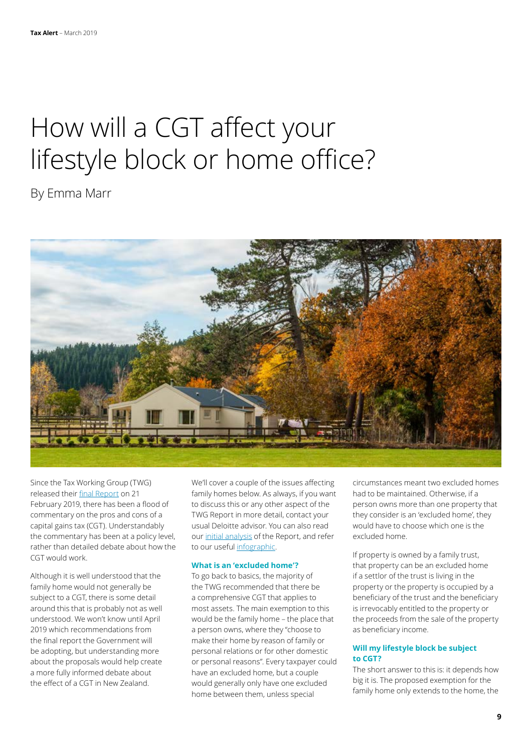# How will a CGT affect your lifestyle block or home office?

By Emma Marr



Since the Tax Working Group (TWG) released their [final Report](https://taxworkinggroup.govt.nz/resources/future-tax-final-report) on 21 February 2019, there has been a flood of commentary on the pros and cons of a capital gains tax (CGT). Understandably the commentary has been at a policy level, rather than detailed debate about how the CGT would work.

Although it is well understood that the family home would not generally be subject to a CGT, there is some detail around this that is probably not as well understood. We won't know until April 2019 which recommendations from the final report the Government will be adopting, but understanding more about the proposals would help create a more fully informed debate about the effect of a CGT in New Zealand.

We'll cover a couple of the issues affecting family homes below. As always, if you want to discuss this or any other aspect of the TWG Report in more detail, contact your usual Deloitte advisor. You can also read our [initial analysis](https://www2.deloitte.com/nz/en/pages/tax/articles/capital-gains-tax-nz.html) of the Report, and refer to our useful [infographic](https://www2.deloitte.com/nz/en/pages/tax/articles/tax-working-group-infographic.htmlhttp://)

# **What is an 'excluded home'?**

To go back to basics, the majority of the TWG recommended that there be a comprehensive CGT that applies to most assets. The main exemption to this would be the family home – the place that a person owns, where they "choose to make their home by reason of family or personal relations or for other domestic or personal reasons". Every taxpayer could have an excluded home, but a couple would generally only have one excluded home between them, unless special

circumstances meant two excluded homes had to be maintained. Otherwise, if a person owns more than one property that they consider is an 'excluded home', they would have to choose which one is the excluded home.

If property is owned by a family trust, that property can be an excluded home if a settlor of the trust is living in the property or the property is occupied by a beneficiary of the trust and the beneficiary is irrevocably entitled to the property or the proceeds from the sale of the property as beneficiary income.

### **Will my lifestyle block be subject to CGT?**

The short answer to this is: it depends how big it is. The proposed exemption for the family home only extends to the home, the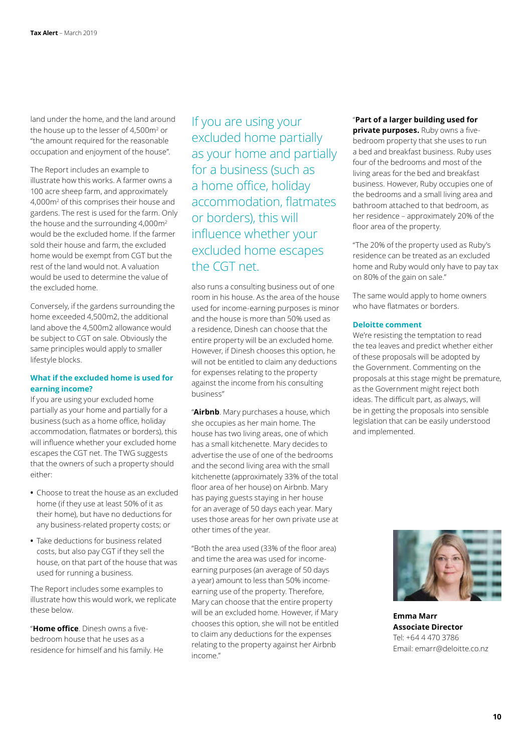land under the home, and the land around the house up to the lesser of 4,500m2 or "the amount required for the reasonable occupation and enjoyment of the house".

The Report includes an example to illustrate how this works. A farmer owns a 100 acre sheep farm, and approximately 4,000m2 of this comprises their house and gardens. The rest is used for the farm. Only the house and the surrounding  $4,000$ m<sup>2</sup> would be the excluded home. If the farmer sold their house and farm, the excluded home would be exempt from CGT but the rest of the land would not. A valuation would be used to determine the value of the excluded home.

Conversely, if the gardens surrounding the home exceeded 4,500m2, the additional land above the 4,500m2 allowance would be subject to CGT on sale. Obviously the same principles would apply to smaller lifestyle blocks.

# **What if the excluded home is used for earning income?**

If you are using your excluded home partially as your home and partially for a business (such as a home office, holiday accommodation, flatmates or borders), this will influence whether your excluded home escapes the CGT net. The TWG suggests that the owners of such a property should either:

- **•** Choose to treat the house as an excluded home (if they use at least 50% of it as their home), but have no deductions for any business-related property costs; or
- **•** Take deductions for business related costs, but also pay CGT if they sell the house, on that part of the house that was used for running a business.

The Report includes some examples to illustrate how this would work, we replicate these below.

"**Home office**. Dinesh owns a fivebedroom house that he uses as a residence for himself and his family. He If you are using your excluded home partially as your home and partially for a business (such as a home office, holiday accommodation, flatmates or borders), this will influence whether your excluded home escapes the CGT net.

also runs a consulting business out of one room in his house. As the area of the house used for income-earning purposes is minor and the house is more than 50% used as a residence, Dinesh can choose that the entire property will be an excluded home. However, if Dinesh chooses this option, he will not be entitled to claim any deductions for expenses relating to the property against the income from his consulting business"

"**Airbnb**. Mary purchases a house, which she occupies as her main home. The house has two living areas, one of which has a small kitchenette. Mary decides to advertise the use of one of the bedrooms and the second living area with the small kitchenette (approximately 33% of the total floor area of her house) on Airbnb. Mary has paying guests staying in her house for an average of 50 days each year. Mary uses those areas for her own private use at other times of the year.

"Both the area used (33% of the floor area) and time the area was used for incomeearning purposes (an average of 50 days a year) amount to less than 50% incomeearning use of the property. Therefore, Mary can choose that the entire property will be an excluded home. However, if Mary chooses this option, she will not be entitled to claim any deductions for the expenses relating to the property against her Airbnb income."

#### "**Part of a larger building used for**

**private purposes.** Ruby owns a fivebedroom property that she uses to run a bed and breakfast business. Ruby uses four of the bedrooms and most of the living areas for the bed and breakfast business. However, Ruby occupies one of the bedrooms and a small living area and bathroom attached to that bedroom, as her residence – approximately 20% of the floor area of the property.

"The 20% of the property used as Ruby's residence can be treated as an excluded home and Ruby would only have to pay tax on 80% of the gain on sale."

The same would apply to home owners who have flatmates or borders.

#### **Deloitte comment**

We're resisting the temptation to read the tea leaves and predict whether either of these proposals will be adopted by the Government. Commenting on the proposals at this stage might be premature, as the Government might reject both ideas. The difficult part, as always, will be in getting the proposals into sensible legislation that can be easily understood and implemented.



**Emma Marr Associate Director** Tel: +64 4 470 3786 Email: emarr@deloitte.co.nz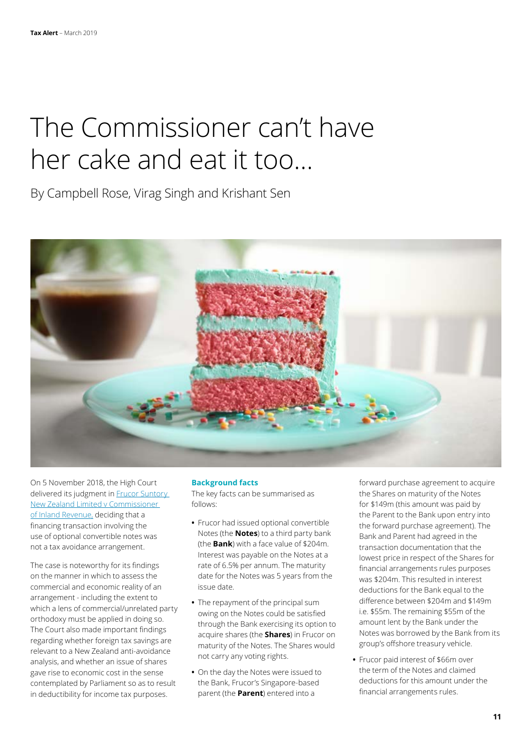# The Commissioner can't have her cake and eat it too…

By Campbell Rose, Virag Singh and Krishant Sen



On 5 November 2018, the High Court delivered its judgment in **Frucor Suntory** [New Zealand Limited v Commissioner](https://forms.justice.govt.nz/search/Documents/pdf/jdo/2e/alfresco/service/api/node/content/workspace/SpacesStore/0708a852-6e39-4b12-9ee6-66770f1063e0/0708a852-6e39-4b12-9ee6-66770f1063e0.pdf)  [of Inland Revenue,](https://forms.justice.govt.nz/search/Documents/pdf/jdo/2e/alfresco/service/api/node/content/workspace/SpacesStore/0708a852-6e39-4b12-9ee6-66770f1063e0/0708a852-6e39-4b12-9ee6-66770f1063e0.pdf) deciding that a financing transaction involving the use of optional convertible notes was not a tax avoidance arrangement.

The case is noteworthy for its findings on the manner in which to assess the commercial and economic reality of an arrangement - including the extent to which a lens of commercial/unrelated party orthodoxy must be applied in doing so. The Court also made important findings regarding whether foreign tax savings are relevant to a New Zealand anti-avoidance analysis, and whether an issue of shares gave rise to economic cost in the sense contemplated by Parliament so as to result in deductibility for income tax purposes.

#### **Background facts**

The key facts can be summarised as follows:

- **•** Frucor had issued optional convertible Notes (the **Notes**) to a third party bank (the **Bank**) with a face value of \$204m. Interest was payable on the Notes at a rate of 6.5% per annum. The maturity date for the Notes was 5 years from the issue date.
- **•** The repayment of the principal sum owing on the Notes could be satisfied through the Bank exercising its option to acquire shares (the **Shares**) in Frucor on maturity of the Notes. The Shares would not carry any voting rights.
- **•** On the day the Notes were issued to the Bank, Frucor's Singapore-based parent (the **Parent**) entered into a

forward purchase agreement to acquire the Shares on maturity of the Notes for \$149m (this amount was paid by the Parent to the Bank upon entry into the forward purchase agreement). The Bank and Parent had agreed in the transaction documentation that the lowest price in respect of the Shares for financial arrangements rules purposes was \$204m. This resulted in interest deductions for the Bank equal to the difference between \$204m and \$149m i.e. \$55m. The remaining \$55m of the amount lent by the Bank under the Notes was borrowed by the Bank from its group's offshore treasury vehicle.

**•** Frucor paid interest of \$66m over the term of the Notes and claimed deductions for this amount under the financial arrangements rules.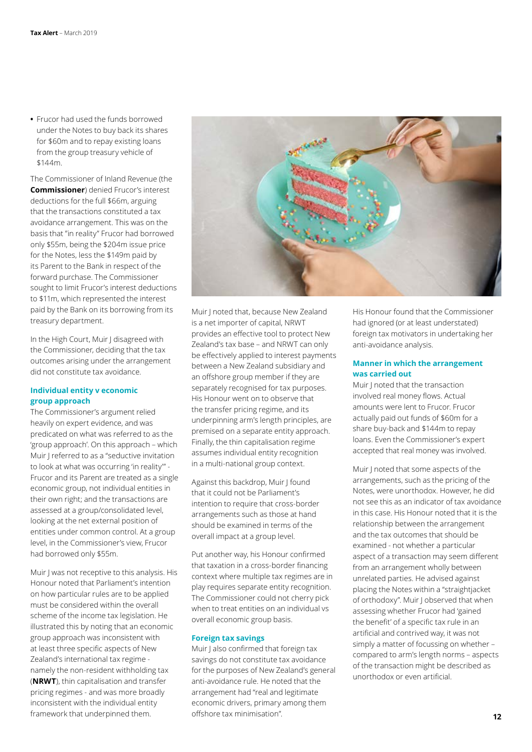**•** Frucor had used the funds borrowed under the Notes to buy back its shares for \$60m and to repay existing loans from the group treasury vehicle of \$144m.

The Commissioner of Inland Revenue (the **Commissioner**) denied Frucor's interest deductions for the full \$66m, arguing that the transactions constituted a tax avoidance arrangement. This was on the basis that "in reality" Frucor had borrowed only \$55m, being the \$204m issue price for the Notes, less the \$149m paid by its Parent to the Bank in respect of the forward purchase. The Commissioner sought to limit Frucor's interest deductions to \$11m, which represented the interest paid by the Bank on its borrowing from its treasury department.

In the High Court, Muir J disagreed with the Commissioner, deciding that the tax outcomes arising under the arrangement did not constitute tax avoidance.

# **Individual entity v economic group approach**

The Commissioner's argument relied heavily on expert evidence, and was predicated on what was referred to as the 'group approach'. On this approach – which Muir J referred to as a "seductive invitation to look at what was occurring 'in reality'" - Frucor and its Parent are treated as a single economic group, not individual entities in their own right; and the transactions are assessed at a group/consolidated level, looking at the net external position of entities under common control. At a group level, in the Commissioner's view, Frucor had borrowed only \$55m.

Muir J was not receptive to this analysis. His Honour noted that Parliament's intention on how particular rules are to be applied must be considered within the overall scheme of the income tax legislation. He illustrated this by noting that an economic group approach was inconsistent with at least three specific aspects of New Zealand's international tax regime namely the non-resident withholding tax (**NRWT**), thin capitalisation and transfer pricing regimes - and was more broadly inconsistent with the individual entity framework that underpinned them.



Muir J noted that, because New Zealand is a net importer of capital, NRWT provides an effective tool to protect New Zealand's tax base – and NRWT can only be effectively applied to interest payments between a New Zealand subsidiary and an offshore group member if they are separately recognised for tax purposes. His Honour went on to observe that the transfer pricing regime, and its underpinning arm's length principles, are premised on a separate entity approach. Finally, the thin capitalisation regime assumes individual entity recognition in a multi-national group context.

Against this backdrop, Muir J found that it could not be Parliament's intention to require that cross-border arrangements such as those at hand should be examined in terms of the overall impact at a group level.

Put another way, his Honour confirmed that taxation in a cross-border financing context where multiple tax regimes are in play requires separate entity recognition. The Commissioner could not cherry pick when to treat entities on an individual vs overall economic group basis.

#### **Foreign tax savings**

Muir J also confirmed that foreign tax savings do not constitute tax avoidance for the purposes of New Zealand's general anti-avoidance rule. He noted that the arrangement had "real and legitimate economic drivers, primary among them offshore tax minimisation".

His Honour found that the Commissioner had ignored (or at least understated) foreign tax motivators in undertaking her anti-avoidance analysis.

### **Manner in which the arrangement was carried out**

Muir J noted that the transaction involved real money flows. Actual amounts were lent to Frucor. Frucor actually paid out funds of \$60m for a share buy-back and \$144m to repay loans. Even the Commissioner's expert accepted that real money was involved.

Muir J noted that some aspects of the arrangements, such as the pricing of the Notes, were unorthodox. However, he did not see this as an indicator of tax avoidance in this case. His Honour noted that it is the relationship between the arrangement and the tax outcomes that should be examined - not whether a particular aspect of a transaction may seem different from an arrangement wholly between unrelated parties. He advised against placing the Notes within a "straightjacket of orthodoxy". Muir J observed that when assessing whether Frucor had 'gained the benefit' of a specific tax rule in an artificial and contrived way, it was not simply a matter of focussing on whether – compared to arm's length norms – aspects of the transaction might be described as unorthodox or even artificial.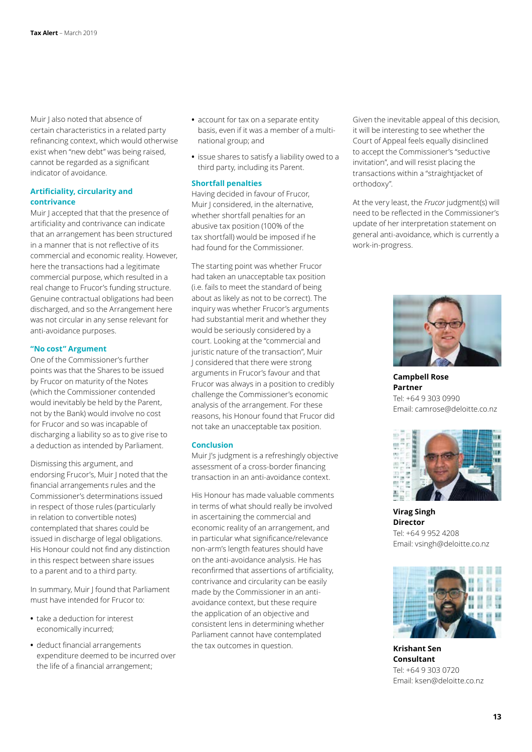Muir J also noted that absence of certain characteristics in a related party refinancing context, which would otherwise exist when "new debt" was being raised, cannot be regarded as a significant indicator of avoidance.

## **Artificiality, circularity and contrivance**

Muir J accepted that that the presence of artificiality and contrivance can indicate that an arrangement has been structured in a manner that is not reflective of its commercial and economic reality. However, here the transactions had a legitimate commercial purpose, which resulted in a real change to Frucor's funding structure. Genuine contractual obligations had been discharged, and so the Arrangement here was not circular in any sense relevant for anti-avoidance purposes.

### **"No cost" Argument**

One of the Commissioner's further points was that the Shares to be issued by Frucor on maturity of the Notes (which the Commissioner contended would inevitably be held by the Parent, not by the Bank) would involve no cost for Frucor and so was incapable of discharging a liability so as to give rise to a deduction as intended by Parliament.

Dismissing this argument, and endorsing Frucor's, Muir J noted that the financial arrangements rules and the Commissioner's determinations issued in respect of those rules (particularly in relation to convertible notes) contemplated that shares could be issued in discharge of legal obligations. His Honour could not find any distinction in this respect between share issues to a parent and to a third party.

In summary, Muir J found that Parliament must have intended for Frucor to:

- **•** take a deduction for interest economically incurred;
- **•** deduct financial arrangements expenditure deemed to be incurred over the life of a financial arrangement;
- **•** account for tax on a separate entity basis, even if it was a member of a multinational group; and
- **•** issue shares to satisfy a liability owed to a third party, including its Parent.

# **Shortfall penalties**

Having decided in favour of Frucor, Muir J considered, in the alternative, whether shortfall penalties for an abusive tax position (100% of the tax shortfall) would be imposed if he had found for the Commissioner.

The starting point was whether Frucor had taken an unacceptable tax position (i.e. fails to meet the standard of being about as likely as not to be correct). The inquiry was whether Frucor's arguments had substantial merit and whether they would be seriously considered by a court. Looking at the "commercial and juristic nature of the transaction", Muir J considered that there were strong arguments in Frucor's favour and that Frucor was always in a position to credibly challenge the Commissioner's economic analysis of the arrangement. For these reasons, his Honour found that Frucor did not take an unacceptable tax position.

#### **Conclusion**

Muir J's judgment is a refreshingly objective assessment of a cross-border financing transaction in an anti-avoidance context.

His Honour has made valuable comments in terms of what should really be involved in ascertaining the commercial and economic reality of an arrangement, and in particular what significance/relevance non-arm's length features should have on the anti-avoidance analysis. He has reconfirmed that assertions of artificiality, contrivance and circularity can be easily made by the Commissioner in an antiavoidance context, but these require the application of an objective and consistent lens in determining whether Parliament cannot have contemplated the tax outcomes in question.

Given the inevitable appeal of this decision, it will be interesting to see whether the Court of Appeal feels equally disinclined to accept the Commissioner's "seductive invitation", and will resist placing the transactions within a "straightjacket of orthodoxy".

At the very least, the *Frucor* judgment(s) will need to be reflected in the Commissioner's update of her interpretation statement on general anti-avoidance, which is currently a work-in-progress.



**Campbell Rose Partner** Tel: +64 9 303 0990 Email: camrose@deloitte.co.nz



**Virag Singh Director** Tel: +64 9 952 4208 Email: vsingh@deloitte.co.nz



**Krishant Sen Consultant** Tel: +64 9 303 0720 Email: ksen@deloitte.co.nz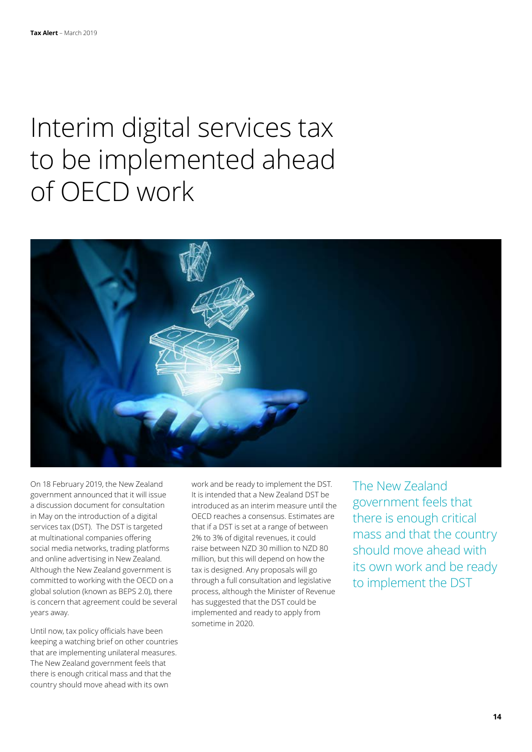# Interim digital services tax to be implemented ahead of OECD work



On 18 February 2019, the New Zealand government announced that it will issue a discussion document for consultation in May on the introduction of a digital services tax (DST). The DST is targeted at multinational companies offering social media networks, trading platforms and online advertising in New Zealand. Although the New Zealand government is committed to working with the OECD on a global solution (known as BEPS 2.0), there is concern that agreement could be several years away.

Until now, tax policy officials have been keeping a watching brief on other countries that are implementing unilateral measures. The New Zealand government feels that there is enough critical mass and that the country should move ahead with its own

work and be ready to implement the DST. It is intended that a New Zealand DST be introduced as an interim measure until the OECD reaches a consensus. Estimates are that if a DST is set at a range of between 2% to 3% of digital revenues, it could raise between NZD 30 million to NZD 80 million, but this will depend on how the tax is designed. Any proposals will go through a full consultation and legislative process, although the Minister of Revenue has suggested that the DST could be implemented and ready to apply from sometime in 2020.

The New Zealand government feels that there is enough critical mass and that the country should move ahead with its own work and be ready to implement the DST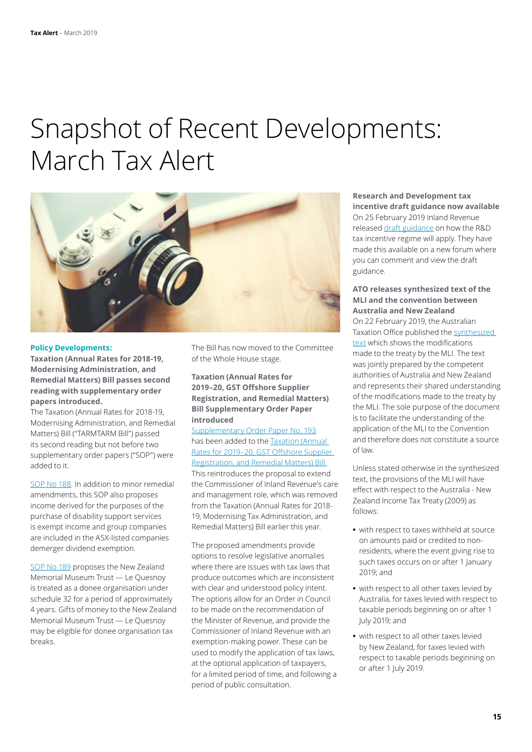# Snapshot of Recent Developments: March Tax Alert



#### **Policy Developments:**

**Taxation (Annual Rates for 2018-19, Modernising Administration, and Remedial Matters) Bill passes second reading with supplementary order papers introduced.**

The Taxation (Annual Rates for 2018-19, Modernising Administration, and Remedial Matters) Bill ("TARMTARM Bill") passed its second reading but not before two supplementary order papers ("SOP") were added to it.

[SOP No 188.](http://www.legislation.govt.nz/sop/government/2019/0188/latest/LMS155516.html) In addition to minor remedial amendments, this SOP also proposes income derived for the purposes of the purchase of disability support services is exempt income and group companies are included in the ASX-listed companies demerger dividend exemption.

[SOP No 189](http://www.legislation.govt.nz/sop/government/2019/0189/latest/LMS155557.html) proposes the New Zealand Memorial Museum Trust — Le Quesnoy is treated as a donee organisation under schedule 32 for a period of approximately 4 years. Gifts of money to the New Zealand Memorial Museum Trust — Le Quesnoy may be eligible for donee organisation tax breaks.

The Bill has now moved to the Committee of the Whole House stage.

**Taxation (Annual Rates for 2019–20, GST Offshore Supplier Registration, and Remedial Matters) Bill Supplementary Order Paper introduced**

[Supplementary Order Paper No. 193](http://legislation.govt.nz/sop/government/2019/0193/latest/whole.html#LMS161857) has been added to the [Taxation \(Annual](http://taxpolicy.ird.govt.nz/bills/52-114)  [Rates for 2019–20, GST Offshore Supplier](http://taxpolicy.ird.govt.nz/bills/52-114)  [Registration, and Remedial Matters\) Bill.](http://taxpolicy.ird.govt.nz/bills/52-114) This reintroduces the proposal to extend the Commissioner of Inland Revenue's care and management role, which was removed from the Taxation (Annual Rates for 2018- 19, Modernising Tax Administration, and Remedial Matters) Bill earlier this year.

The proposed amendments provide options to resolve legislative anomalies where there are issues with tax laws that produce outcomes which are inconsistent with clear and understood policy intent. The options allow for an Order in Council to be made on the recommendation of the Minister of Revenue, and provide the Commissioner of Inland Revenue with an exemption-making power. These can be used to modify the application of tax laws, at the optional application of taxpayers, for a limited period of time, and following a period of public consultation.

**Research and Development tax incentive draft guidance now available** On 25 February 2019 Inland Revenue released [draft guidance](https://govt.loomio.nz/rdtaxcredit) on how the R&D tax incentive regime will apply. They have made this available on a new forum where you can comment and view the draft guidance.

#### **ATO releases synthesized text of the MLI and the convention between Australia and New Zealand**

On 22 February 2019, the Australian Taxation Office published the [synthesized](https://www.ato.gov.au/law/view/pdf/mli/newzealand.pdf)  [text](https://www.ato.gov.au/law/view/pdf/mli/newzealand.pdf) which shows the modifications made to the treaty by the MLI. The text was jointly prepared by the competent authorities of Australia and New Zealand and represents their shared understanding of the modifications made to the treaty by the MLI. The sole purpose of the document is to facilitate the understanding of the application of the MLI to the Convention and therefore does not constitute a source of law.

Unless stated otherwise in the synthesized text, the provisions of the MLI will have effect with respect to the Australia - New Zealand Income Tax Treaty (2009) as follows:

- **•** with respect to taxes withheld at source on amounts paid or credited to nonresidents, where the event giving rise to such taxes occurs on or after 1 January 2019; and
- **•** with respect to all other taxes levied by Australia, for taxes levied with respect to taxable periods beginning on or after 1 July 2019; and
- **•** with respect to all other taxes levied by New Zealand, for taxes levied with respect to taxable periods beginning on or after 1 July 2019.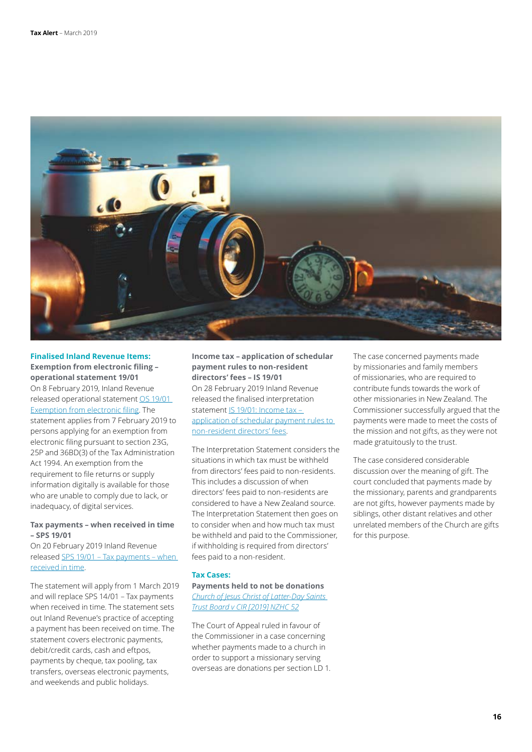

**Finalised Inland Revenue Items: Exemption from electronic filing – operational statement 19/01** On 8 February 2019, Inland Revenue released operational statement [OS 19/01](https://www.ird.govt.nz/resources/d/a/da5b8668-9419-44ec-847b-f274b8bf61ac/os19-01.pdf)  [Exemption from electronic filing](https://www.ird.govt.nz/resources/d/a/da5b8668-9419-44ec-847b-f274b8bf61ac/os19-01.pdf). The statement applies from 7 February 2019 to persons applying for an exemption from electronic filing pursuant to section 23G, 25P and 36BD(3) of the Tax Administration Act 1994. An exemption from the requirement to file returns or supply information digitally is available for those who are unable to comply due to lack, or inadequacy, of digital services.

# **Tax payments – when received in time – SPS 19/01**

On 20 February 2019 Inland Revenue released [SPS 19/01 – Tax payments – when](https://www.ird.govt.nz/technical-tax/standard-practice/processing/sps1901-taxpayments-whenreceivedintime.html)  [received in time](https://www.ird.govt.nz/technical-tax/standard-practice/processing/sps1901-taxpayments-whenreceivedintime.html).

The statement will apply from 1 March 2019 and will replace SPS 14/01 – Tax payments when received in time. The statement sets out Inland Revenue's practice of accepting a payment has been received on time. The statement covers electronic payments, debit/credit cards, cash and eftpos, payments by cheque, tax pooling, tax transfers, overseas electronic payments, and weekends and public holidays.

**Income tax – application of schedular payment rules to non-resident directors' fees – IS 19/01** On 28 February 2019 Inland Revenue released the finalised interpretation statement [IS 19/01: Income tax –](https://www.ird.govt.nz/resources/7/9/795b448a-91e2-4dfb-9147-231e693ebc1d/IS+19+01.pdf)  [application of schedular payment rules to](https://www.ird.govt.nz/resources/7/9/795b448a-91e2-4dfb-9147-231e693ebc1d/IS+19+01.pdf)  [non-resident directors' fees](https://www.ird.govt.nz/resources/7/9/795b448a-91e2-4dfb-9147-231e693ebc1d/IS+19+01.pdf).

The Interpretation Statement considers the situations in which tax must be withheld from directors' fees paid to non-residents. This includes a discussion of when directors' fees paid to non-residents are considered to have a New Zealand source. The Interpretation Statement then goes on to consider when and how much tax must be withheld and paid to the Commissioner, if withholding is required from directors' fees paid to a non-resident.

#### **Tax Cases:**

**Payments held to not be donations**  *[Church of Jesus Christ of Latter-Day Saints](https://forms.justice.govt.nz/search/Documents/pdf/jdo/59/alfresco/service/api/node/content/workspace/SpacesStore/7db0de2e-be09-4d66-8d33-90adfd479fe7/7db0de2e-be09-4d66-8d33-90adfd479fe7.pdf)  [Trust Board v CIR \[2019\] NZHC 52](https://forms.justice.govt.nz/search/Documents/pdf/jdo/59/alfresco/service/api/node/content/workspace/SpacesStore/7db0de2e-be09-4d66-8d33-90adfd479fe7/7db0de2e-be09-4d66-8d33-90adfd479fe7.pdf)*

The Court of Appeal ruled in favour of the Commissioner in a case concerning whether payments made to a church in order to support a missionary serving overseas are donations per section LD 1. The case concerned payments made by missionaries and family members of missionaries, who are required to contribute funds towards the work of other missionaries in New Zealand. The Commissioner successfully argued that the payments were made to meet the costs of the mission and not gifts, as they were not made gratuitously to the trust.

The case considered considerable discussion over the meaning of gift. The court concluded that payments made by the missionary, parents and grandparents are not gifts, however payments made by siblings, other distant relatives and other unrelated members of the Church are gifts for this purpose.